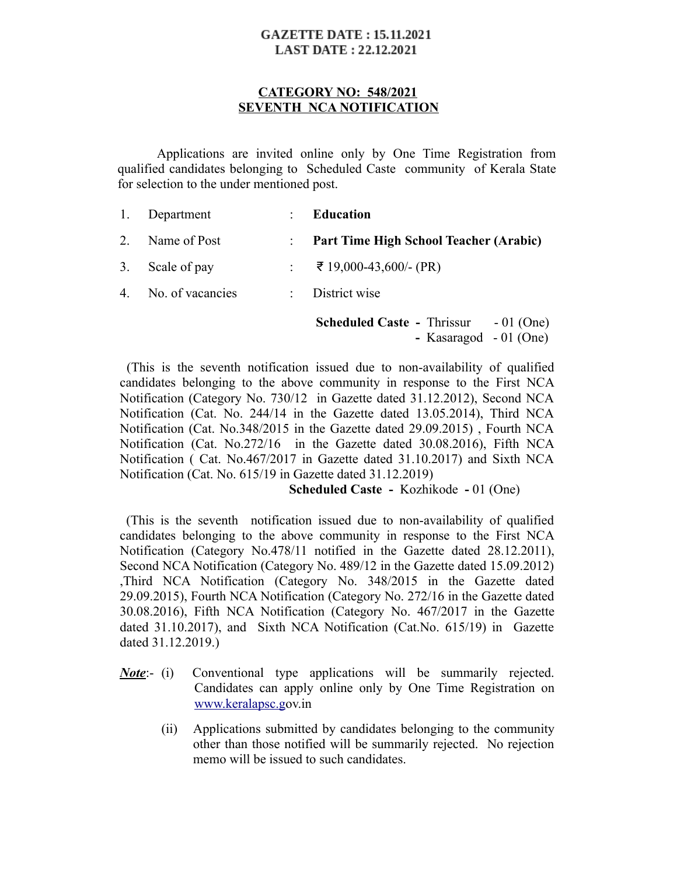#### **GAZETTE DATE: 15.11.2021 LAST DATE: 22.12.2021**

### **CATEGORY NO: 548/2021 SEVENTH NCA NOTIFICATION**

Applications are invited online only by One Time Registration from qualified candidates belonging to Scheduled Caste community of Kerala State for selection to the under mentioned post.

| Department   |                                 | <b>Education</b>                                                       |  |
|--------------|---------------------------------|------------------------------------------------------------------------|--|
| Name of Post |                                 | Part Time High School Teacher (Arabic)                                 |  |
| Scale of pay |                                 | ₹ 19,000-43,600/- (PR)                                                 |  |
|              |                                 | District wise                                                          |  |
|              |                                 | <b>Scheduled Caste - Thrissur</b> - 01 (One)<br>- Kasaragod - 01 (One) |  |
|              | 2.<br>3.<br>4. No. of vacancies |                                                                        |  |

 (This is the seventh notification issued due to non-availability of qualified candidates belonging to the above community in response to the First NCA Notification (Category No. 730/12 in Gazette dated 31.12.2012), Second NCA Notification (Cat. No. 244/14 in the Gazette dated 13.05.2014), Third NCA Notification (Cat. No.348/2015 in the Gazette dated 29.09.2015) , Fourth NCA Notification (Cat. No.272/16 in the Gazette dated 30.08.2016), Fifth NCA Notification ( Cat. No.467/2017 in Gazette dated 31.10.2017) and Sixth NCA Notification (Cat. No. 615/19 in Gazette dated 31.12.2019)

**Scheduled Caste -** Kozhikode **-** 01 (One)

 (This is the seventh notification issued due to non-availability of qualified candidates belonging to the above community in response to the First NCA Notification (Category No.478/11 notified in the Gazette dated 28.12.2011), Second NCA Notification (Category No. 489/12 in the Gazette dated 15.09.2012) ,Third NCA Notification (Category No. 348/2015 in the Gazette dated 29.09.2015), Fourth NCA Notification (Category No. 272/16 in the Gazette dated 30.08.2016), Fifth NCA Notification (Category No. 467/2017 in the Gazette dated 31.10.2017), and Sixth NCA Notification (Cat.No. 615/19) in Gazette dated 31.12.2019.)

- *Note*:- (i) Conventional type applications will be summarily rejected. Candidates can apply online only by One Time Registration on [www.keralapsc.go](http://www.keralapsc.org/)v.in
	- (ii) Applications submitted by candidates belonging to the community other than those notified will be summarily rejected. No rejection memo will be issued to such candidates.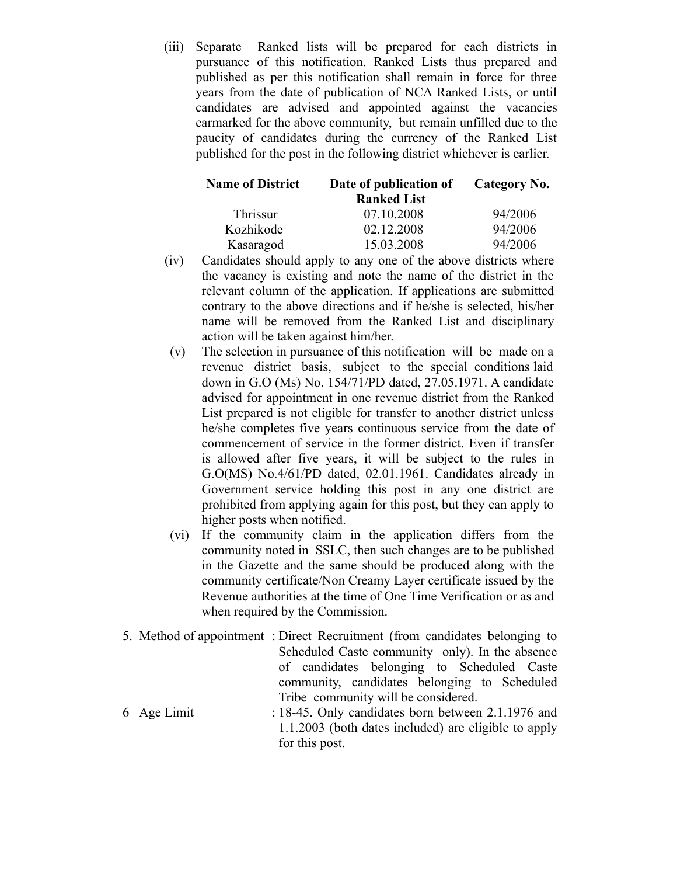(iii) Separate Ranked lists will be prepared for each districts in pursuance of this notification. Ranked Lists thus prepared and published as per this notification shall remain in force for three years from the date of publication of NCA Ranked Lists, or until candidates are advised and appointed against the vacancies earmarked for the above community, but remain unfilled due to the paucity of candidates during the currency of the Ranked List published for the post in the following district whichever is earlier.

| <b>Name of District</b> | Date of publication of | Category No. |
|-------------------------|------------------------|--------------|
|                         | <b>Ranked List</b>     |              |
| Thrissur                | 07.10.2008             | 94/2006      |
| Kozhikode               | 02.12.2008             | 94/2006      |
| Kasaragod               | 15.03.2008             | 94/2006      |

- (iv) Candidates should apply to any one of the above districts where the vacancy is existing and note the name of the district in the relevant column of the application. If applications are submitted contrary to the above directions and if he/she is selected, his/her name will be removed from the Ranked List and disciplinary action will be taken against him/her.
- (v) The selection in pursuance of this notification will be made on a revenue district basis, subject to the special conditions laid down in G.O (Ms) No. 154/71/PD dated, 27.05.1971. A candidate advised for appointment in one revenue district from the Ranked List prepared is not eligible for transfer to another district unless he/she completes five years continuous service from the date of commencement of service in the former district. Even if transfer is allowed after five years, it will be subject to the rules in G.O(MS) No.4/61/PD dated, 02.01.1961. Candidates already in Government service holding this post in any one district are prohibited from applying again for this post, but they can apply to higher posts when notified.
- (vi) If the community claim in the application differs from the community noted in SSLC, then such changes are to be published in the Gazette and the same should be produced along with the community certificate/Non Creamy Layer certificate issued by the Revenue authorities at the time of One Time Verification or as and when required by the Commission.
- 5. Method of appointment : Direct Recruitment (from candidates belonging to Scheduled Caste community only). In the absence of candidates belonging to Scheduled Caste community, candidates belonging to Scheduled Tribe community will be considered.
- 6 Age Limit : 18-45. Only candidates born between 2.1.1976 and 1.1.2003 (both dates included) are eligible to apply for this post.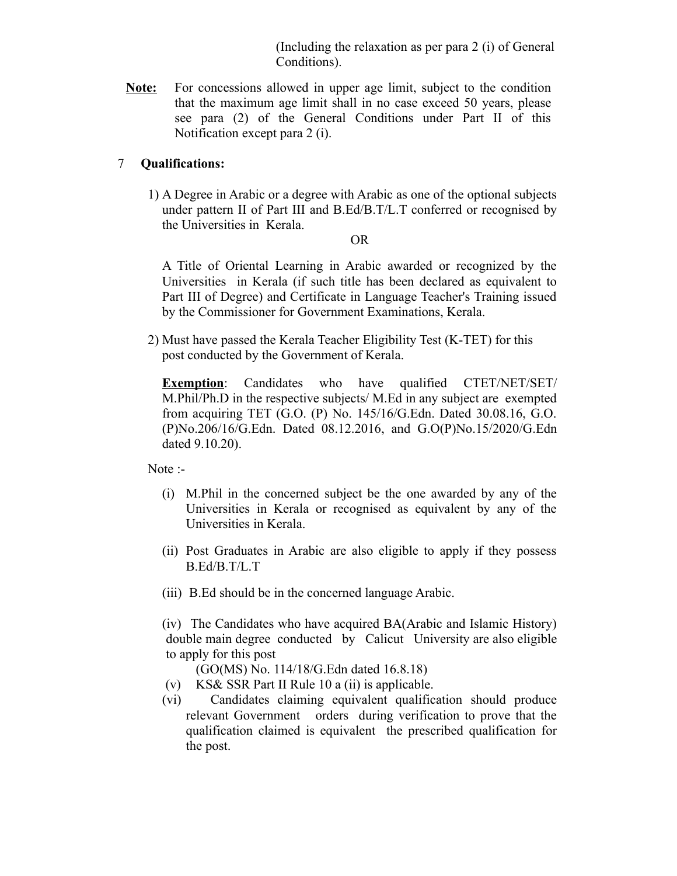(Including the relaxation as per para 2 (i) of General Conditions).

**Note:** For concessions allowed in upper age limit, subject to the condition that the maximum age limit shall in no case exceed 50 years, please see para (2) of the General Conditions under Part II of this Notification except para 2 (i).

# 7 **Qualifications:**

1) A Degree in Arabic or a degree with Arabic as one of the optional subjects under pattern II of Part III and B.Ed/B.T/L.T conferred or recognised by the Universities in Kerala.

#### OR

A Title of Oriental Learning in Arabic awarded or recognized by the Universities in Kerala (if such title has been declared as equivalent to Part III of Degree) and Certificate in Language Teacher's Training issued by the Commissioner for Government Examinations, Kerala.

2) Must have passed the Kerala Teacher Eligibility Test (K-TET) for this post conducted by the Government of Kerala.

**Exemption**: Candidates who have qualified CTET/NET/SET/ M.Phil/Ph.D in the respective subjects/ M.Ed in any subject are exempted from acquiring TET (G.O. (P) No. 145/16/G.Edn. Dated 30.08.16, G.O. (P)No.206/16/G.Edn. Dated 08.12.2016, and G.O(P)No.15/2020/G.Edn dated 9.10.20).

Note :-

- (i) M.Phil in the concerned subject be the one awarded by any of the Universities in Kerala or recognised as equivalent by any of the Universities in Kerala.
- (ii) Post Graduates in Arabic are also eligible to apply if they possess B.Ed/B.T/L.T
- (iii) B.Ed should be in the concerned language Arabic.

 (iv) The Candidates who have acquired BA(Arabic and Islamic History) double main degree conducted by Calicut University are also eligible to apply for this post

- (GO(MS) No. 114/18/G.Edn dated 16.8.18)
- (v) KS& SSR Part II Rule 10 a (ii) is applicable.
- (vi) Candidates claiming equivalent qualification should produce relevant Government orders during verification to prove that the qualification claimed is equivalent the prescribed qualification for the post.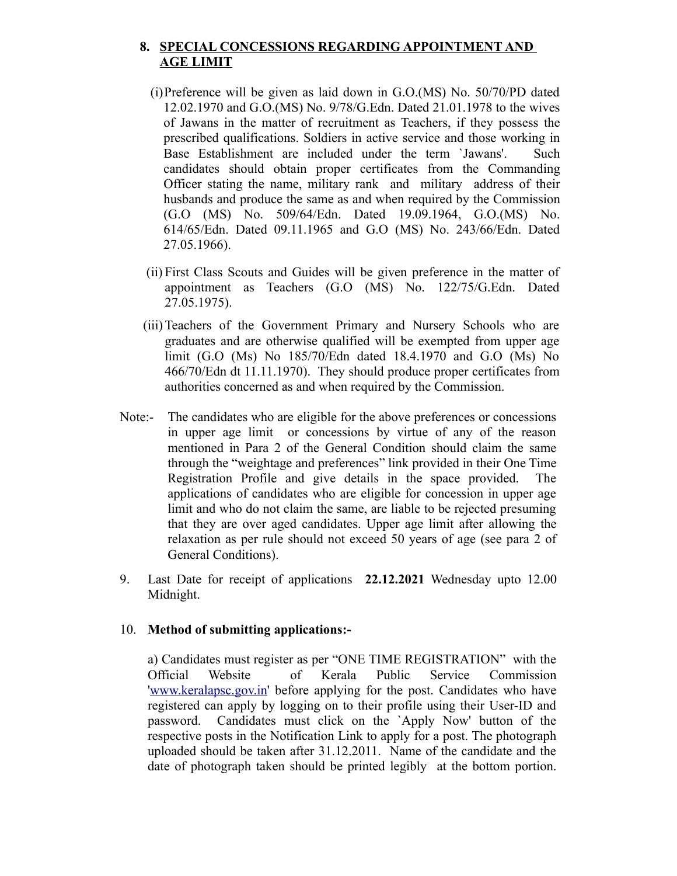# **8. SPECIAL CONCESSIONS REGARDING APPOINTMENT AND AGE LIMIT**

- (i)Preference will be given as laid down in G.O.(MS) No. 50/70/PD dated 12.02.1970 and G.O.(MS) No. 9/78/G.Edn. Dated 21.01.1978 to the wives of Jawans in the matter of recruitment as Teachers, if they possess the prescribed qualifications. Soldiers in active service and those working in Base Establishment are included under the term `Jawans'. Such candidates should obtain proper certificates from the Commanding Officer stating the name, military rank and military address of their husbands and produce the same as and when required by the Commission (G.O (MS) No. 509/64/Edn. Dated 19.09.1964, G.O.(MS) No. 614/65/Edn. Dated 09.11.1965 and G.O (MS) No. 243/66/Edn. Dated 27.05.1966).
- (ii) First Class Scouts and Guides will be given preference in the matter of appointment as Teachers (G.O (MS) No. 122/75/G.Edn. Dated 27.05.1975).
- (iii) Teachers of the Government Primary and Nursery Schools who are graduates and are otherwise qualified will be exempted from upper age limit (G.O (Ms) No 185/70/Edn dated 18.4.1970 and G.O (Ms) No 466/70/Edn dt 11.11.1970). They should produce proper certificates from authorities concerned as and when required by the Commission.
- Note:- The candidates who are eligible for the above preferences or concessions in upper age limit or concessions by virtue of any of the reason mentioned in Para 2 of the General Condition should claim the same through the "weightage and preferences" link provided in their One Time Registration Profile and give details in the space provided. The applications of candidates who are eligible for concession in upper age limit and who do not claim the same, are liable to be rejected presuming that they are over aged candidates. Upper age limit after allowing the relaxation as per rule should not exceed 50 years of age (see para 2 of General Conditions).
- 9. Last Date for receipt of applications **22.12.2021** Wednesday upto 12.00 Midnight.

### 10. **Method of submitting applications:-**

a) Candidates must register as per "ONE TIME REGISTRATION" with the Official Website of Kerala Public Service Commission ['www.keralapsc.gov.in](http://www.keralapsc.gov.in/)' before applying for the post. Candidates who have registered can apply by logging on to their profile using their User-ID and password. Candidates must click on the `Apply Now' button of the respective posts in the Notification Link to apply for a post. The photograph uploaded should be taken after 31.12.2011. Name of the candidate and the date of photograph taken should be printed legibly at the bottom portion.